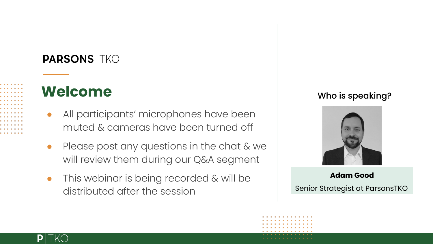#### **PARSONS TKO**

#### **Welcome**

- All participants' microphones have been muted & cameras have been turned off
- Please post any questions in the chat & we will review them during our Q&A segment
- This webinar is being recorded & will be distributed after the session

#### Who is speaking?



#### **Adam Good** Senior Strategist at ParsonsTKO

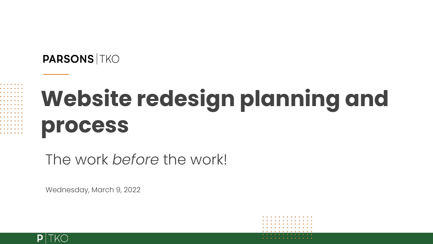#### **PARSONS TKO**



# **Website redesign planning and process**

The work *before* the work!

Wednesday, March 9, 2022

. . . . . . . . . . . . . . . . . . . . . . . . . .

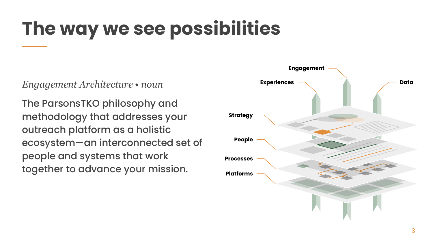## **The way we see possibilities**

*Engagement Architecture* ⬩ *noun*

The ParsonsTKO philosophy and methodology that addresses your outreach platform as a holistic ecosystem—an interconnected set of people and systems that work together to advance your mission.

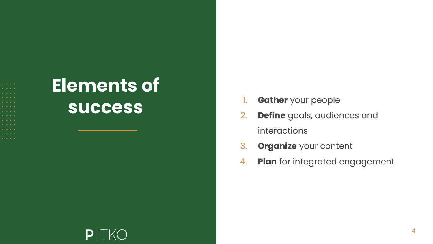- 
- 
- 
- 
- 
- 

#### **Elements of success**

- 1. **Gather** your people
- 2. **Define** goals, audiences and interactions
- 3. **Organize** your content
- 4. **Plan** for integrated engagement

#### P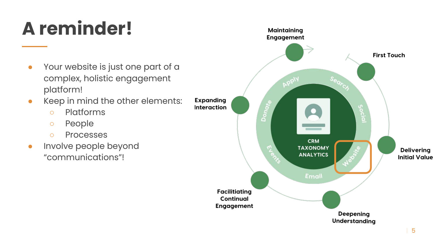# **A reminder!**

- Your website is just one part of a complex, holistic engagement platform!
- Keep in mind the other elements:
	- Platforms
	- People
	- Processes
- **•** Involve people beyond "communications"!

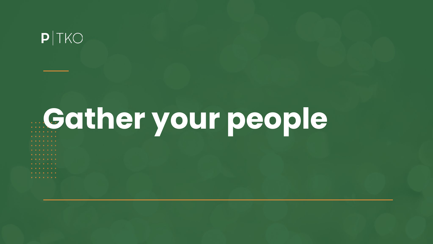#### $P|TKO$

# **Gather your people**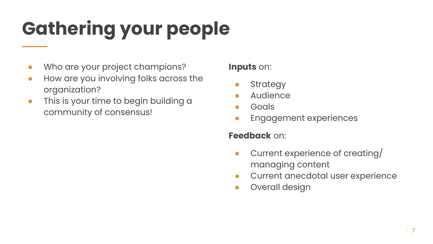# **Gathering your people**

- Who are your project champions?
- How are you involving folks across the organization?
- This is your time to begin building a community of consensus!

#### **Inputs** on:

- **•** Strategy
- **Audience**
- **Goals**
- **Engagement experiences**

#### **Feedback** on:

- Current experience of creating/ managing content
- Current anecdotal user experience
- Overall design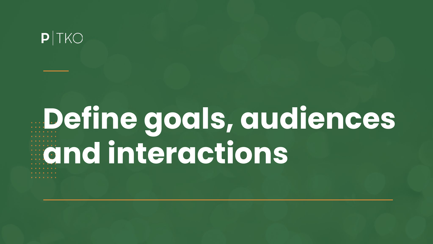#### $P|TKO$

# **Define goals, audiences and interactions**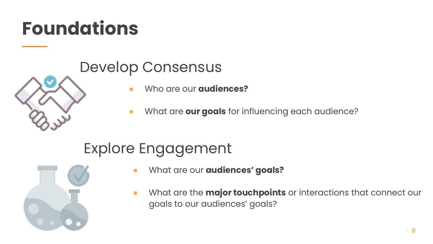### **Foundations**

#### Develop Consensus

- Who are our **audiences?**
- What are **our goals** for influencing each audience?

#### Explore Engagement



- What are our **audiences' goals?**
- What are the **major touchpoints** or interactions that connect our goals to our audiences' goals?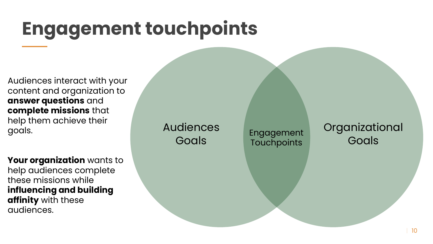### **Engagement touchpoints**

Audiences interact with your content and organization to **answer questions** and **complete missions** that help them achieve their goals.

**Your organization** wants to help audiences complete these missions while **influencing and building affinity** with these audiences.

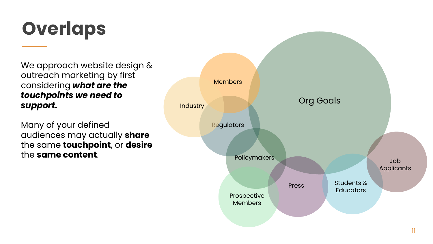### **Overlaps**

We approach website design & outreach marketing by first considering *what are the touchpoints we need to support.*

Many of your defined audiences may actually **share** the same **touchpoint**, or **desire** the **same content**.

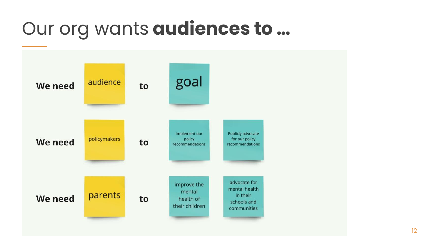#### Our org wants **audiences to …**

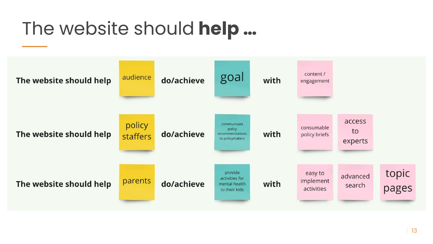#### The website should **help …**

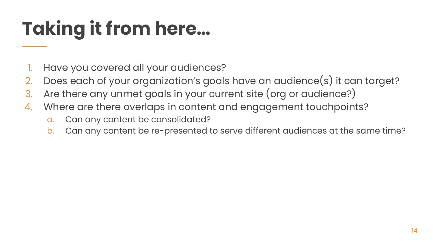# **Taking it from here…**

- 1. Have you covered all your audiences?
- 2. Does each of your organization's goals have an audience(s) it can target?
- 3. Are there any unmet goals in your current site (org or audience?)
- 4. Where are there overlaps in content and engagement touchpoints?
	- a. Can any content be consolidated?
	- b. Can any content be re-presented to serve different audiences at the same time?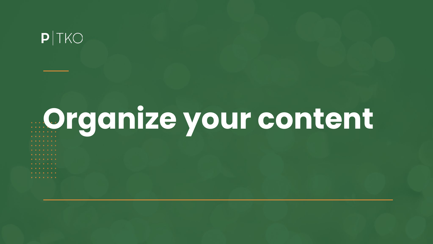#### $P|TKO$

# **Organize your content**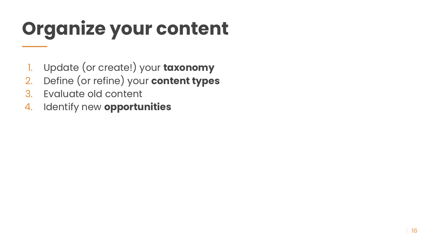# **Organize your content**

- 1. Update (or create!) your **taxonomy**
- 2. Define (or refine) your **content types**
- 3. Evaluate old content
- 4. Identify new **opportunities**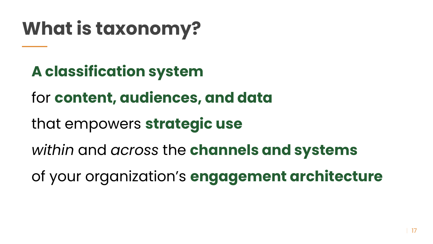# **What is taxonomy?**

**A classification system**

for **content, audiences, and data**

that empowers **strategic use**

*within* and *across* the **channels and systems**

of your organization's **engagement architecture**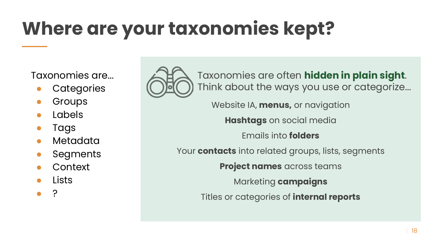# **Where are your taxonomies kept?**

Taxonomies are...

- **Categories**
- **Groups**
- **Labels**
- **Tags**
- Metadata
- **Segments**
- **Context**
- Lists
- ?



Taxonomies are often **hidden in plain sight**. Think about the ways you use or categorize...

Website IA, **menus,** or navigation

**Hashtags** on social media

Emails into **folders**

Your **contacts** into related groups, lists, segments

**Project names** across teams

Marketing **campaigns**

Titles or categories of **internal reports**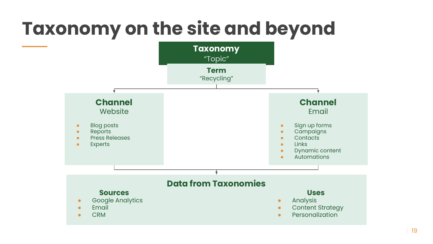# **Taxonomy on the site and beyond**

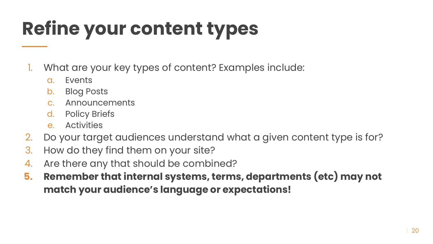# **Refine your content types**

- 1. What are your key types of content? Examples include:
	- a. Events
	- b. Blog Posts
	- c. Announcements
	- d. Policy Briefs
	- e. Activities
- 2. Do your target audiences understand what a given content type is for?
- 3. How do they find them on your site?
- 4. Are there any that should be combined?
- **5. Remember that internal systems, terms, departments (etc) may not match your audience's language or expectations!**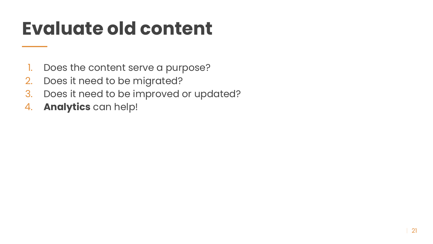#### **Evaluate old content**

- 1. Does the content serve a purpose?
- 2. Does it need to be migrated?
- 3. Does it need to be improved or updated?
- 4. **Analytics** can help!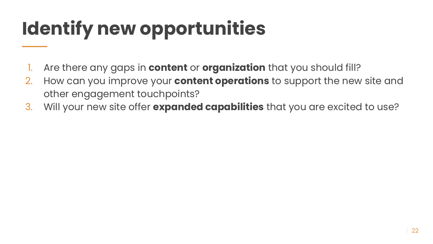# **Identify new opportunities**

- 1. Are there any gaps in **content** or **organization** that you should fill?
- 2. How can you improve your **content operations** to support the new site and other engagement touchpoints?
- 3. Will your new site offer **expanded capabilities** that you are excited to use?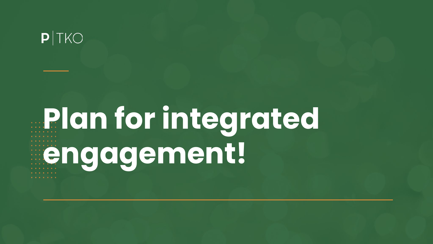#### $P|TKO$

# **Plan for integrated engagement!**. . . . . . .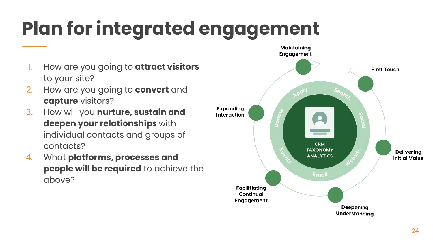# **Plan for integrated engagement**

- 1. How are you going to **attract visitors** to your site?
- 2. How are you going to **convert** and **capture** visitors?
- 3. How will you **nurture, sustain and deepen your relationships** with individual contacts and groups of contacts?
- 4. What **platforms, processes and people will be required** to achieve the above?